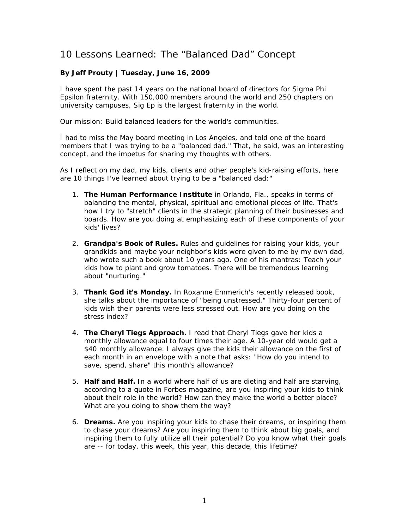## 10 Lessons Learned: The "Balanced Dad" Concept

## **By Jeff Prouty | Tuesday, June 16, 2009**

I have spent the past 14 years on the national board of directors for Sigma Phi Epsilon fraternity. With 150,000 members around the world and 250 chapters on university campuses, Sig Ep is the largest fraternity in the world.

Our mission: Build balanced leaders for the world's communities.

I had to miss the May board meeting in Los Angeles, and told one of the board members that I was trying to be a "balanced dad." That, he said, was an interesting concept, and the impetus for sharing my thoughts with others.

As I reflect on my dad, my kids, clients and other people's kid-raising efforts, here are 10 things I've learned about trying to be a "balanced dad:"

- 1. **The Human Performance Institute** in Orlando, Fla., speaks in terms of balancing the mental, physical, spiritual and emotional pieces of life. That's how I try to "stretch" clients in the strategic planning of their businesses and boards. How are you doing at emphasizing each of these components of your kids' lives?
- 2. **Grandpa's Book of Rules.** Rules and guidelines for raising your kids, your grandkids and maybe your neighbor's kids were given to me by my own dad, who wrote such a book about 10 years ago. One of his mantras: Teach your kids how to plant and grow tomatoes. There will be tremendous learning about "nurturing."
- 3. **Thank God it's Monday.** In Roxanne Emmerich's recently released book, she talks about the importance of "being unstressed." Thirty-four percent of kids wish their parents were less stressed out. How are you doing on the stress index?
- 4. **The Cheryl Tiegs Approach.** I read that Cheryl Tiegs gave her kids a monthly allowance equal to four times their age. A 10-year old would get a \$40 monthly allowance. I always give the kids their allowance on the first of each month in an envelope with a note that asks: "How do you intend to save, spend, share" this month's allowance?
- 5. **Half and Half.** In a world where half of us are dieting and half are starving, according to a quote in Forbes magazine, are you inspiring your kids to think about their role in the world? How can they make the world a better place? What are you doing to show them the way?
- 6. **Dreams.** Are you inspiring your kids to chase their dreams, or inspiring them to chase your dreams? Are you inspiring them to think about big goals, and inspiring them to fully utilize all their potential? Do you know what their goals are -- for today, this week, this year, this decade, this lifetime?